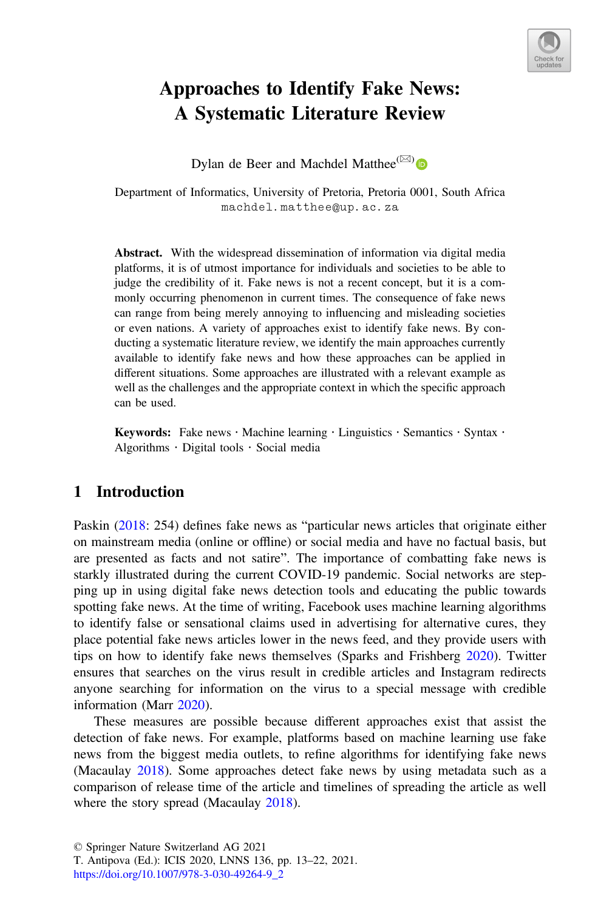

# Approaches to Identify Fake News: A Systematic Literature Review

Dylan de Beer and Machdel Matthee<sup>( $\boxtimes$ [\)](http://orcid.org/0000-0002-6973-1798)</sup>

Department of Informatics, University of Pretoria, Pretoria 0001, South Africa machdel.matthee@up.ac.za

Abstract. With the widespread dissemination of information via digital media platforms, it is of utmost importance for individuals and societies to be able to judge the credibility of it. Fake news is not a recent concept, but it is a commonly occurring phenomenon in current times. The consequence of fake news can range from being merely annoying to influencing and misleading societies or even nations. A variety of approaches exist to identify fake news. By conducting a systematic literature review, we identify the main approaches currently available to identify fake news and how these approaches can be applied in different situations. Some approaches are illustrated with a relevant example as well as the challenges and the appropriate context in which the specific approach can be used.

**Keywords:** Fake news  $\cdot$  Machine learning  $\cdot$  Linguistics  $\cdot$  Semantics  $\cdot$  Syntax  $\cdot$  Algorithms  $\cdot$  Digital tools  $\cdot$  Social media

# 1 Introduction

Paskin ([2018:](#page-8-0) 254) defines fake news as "particular news articles that originate either on mainstream media (online or offline) or social media and have no factual basis, but are presented as facts and not satire". The importance of combatting fake news is starkly illustrated during the current COVID-19 pandemic. Social networks are stepping up in using digital fake news detection tools and educating the public towards spotting fake news. At the time of writing, Facebook uses machine learning algorithms to identify false or sensational claims used in advertising for alternative cures, they place potential fake news articles lower in the news feed, and they provide users with tips on how to identify fake news themselves (Sparks and Frishberg [2020](#page-8-0)). Twitter ensures that searches on the virus result in credible articles and Instagram redirects anyone searching for information on the virus to a special message with credible information (Marr [2020\)](#page-8-0).

These measures are possible because different approaches exist that assist the detection of fake news. For example, platforms based on machine learning use fake news from the biggest media outlets, to refine algorithms for identifying fake news (Macaulay [2018](#page-8-0)). Some approaches detect fake news by using metadata such as a comparison of release time of the article and timelines of spreading the article as well where the story spread (Macaulay [2018](#page-8-0)).

T. Antipova (Ed.): ICIS 2020, LNNS 136, pp. 13–22, 2021.

[https://doi.org/10.1007/978-3-030-49264-9\\_2](https://doi.org/10.1007/978-3-030-49264-9_2)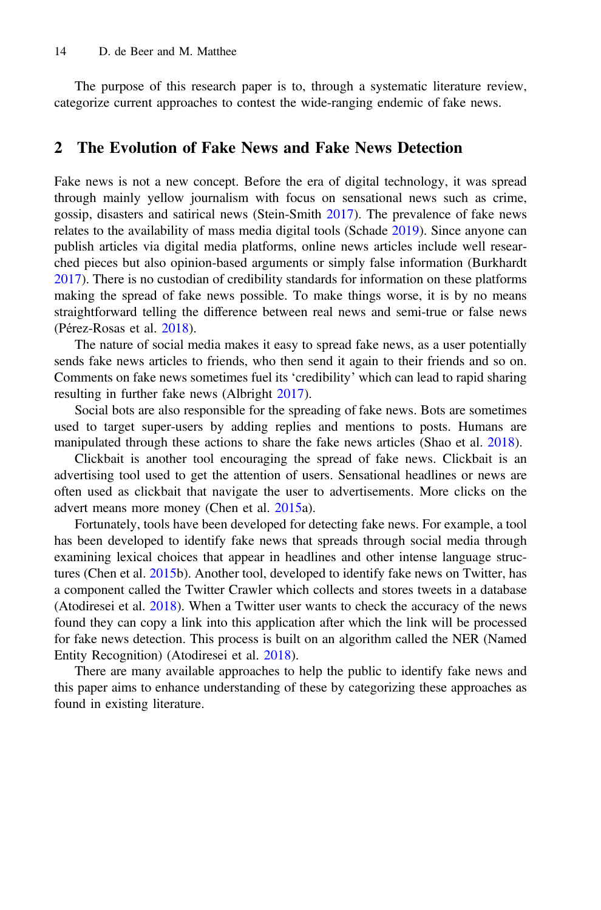The purpose of this research paper is to, through a systematic literature review, categorize current approaches to contest the wide-ranging endemic of fake news.

### 2 The Evolution of Fake News and Fake News Detection

Fake news is not a new concept. Before the era of digital technology, it was spread through mainly yellow journalism with focus on sensational news such as crime, gossip, disasters and satirical news (Stein-Smith [2017\)](#page-8-0). The prevalence of fake news relates to the availability of mass media digital tools (Schade [2019\)](#page-8-0). Since anyone can publish articles via digital media platforms, online news articles include well researched pieces but also opinion-based arguments or simply false information (Burkhardt [2017\)](#page-7-0). There is no custodian of credibility standards for information on these platforms making the spread of fake news possible. To make things worse, it is by no means straightforward telling the difference between real news and semi-true or false news (Pérez-Rosas et al. [2018](#page-8-0)).

The nature of social media makes it easy to spread fake news, as a user potentially sends fake news articles to friends, who then send it again to their friends and so on. Comments on fake news sometimes fuel its 'credibility' which can lead to rapid sharing resulting in further fake news (Albright [2017\)](#page-7-0).

Social bots are also responsible for the spreading of fake news. Bots are sometimes used to target super-users by adding replies and mentions to posts. Humans are manipulated through these actions to share the fake news articles (Shao et al. [2018\)](#page-8-0).

Clickbait is another tool encouraging the spread of fake news. Clickbait is an advertising tool used to get the attention of users. Sensational headlines or news are often used as clickbait that navigate the user to advertisements. More clicks on the advert means more money (Chen et al. [2015a](#page-8-0)).

Fortunately, tools have been developed for detecting fake news. For example, a tool has been developed to identify fake news that spreads through social media through examining lexical choices that appear in headlines and other intense language structures (Chen et al. [2015](#page-8-0)b). Another tool, developed to identify fake news on Twitter, has a component called the Twitter Crawler which collects and stores tweets in a database (Atodiresei et al. [2018](#page-7-0)). When a Twitter user wants to check the accuracy of the news found they can copy a link into this application after which the link will be processed for fake news detection. This process is built on an algorithm called the NER (Named Entity Recognition) (Atodiresei et al. [2018\)](#page-7-0).

There are many available approaches to help the public to identify fake news and this paper aims to enhance understanding of these by categorizing these approaches as found in existing literature.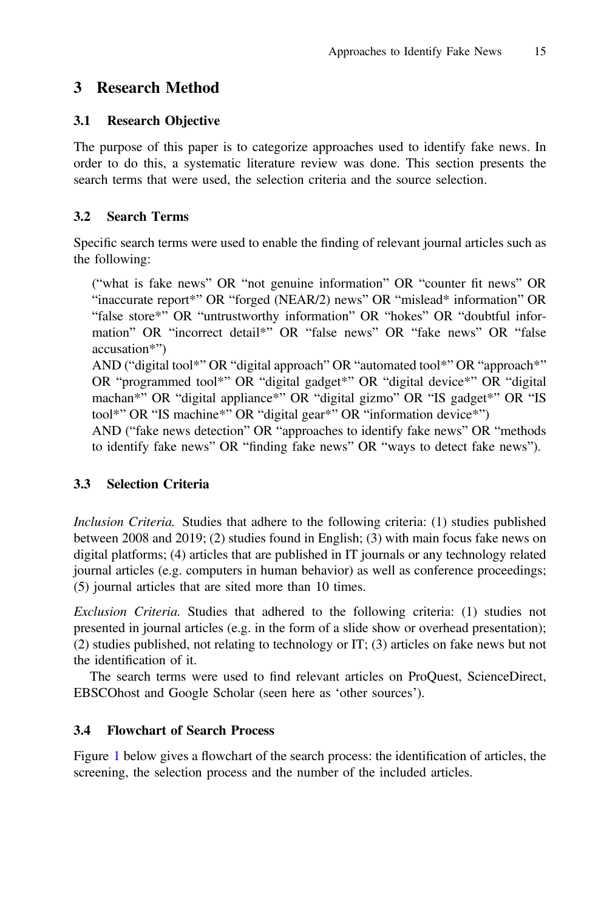# 3 Research Method

### 3.1 Research Objective

The purpose of this paper is to categorize approaches used to identify fake news. In order to do this, a systematic literature review was done. This section presents the search terms that were used, the selection criteria and the source selection.

# 3.2 Search Terms

Specific search terms were used to enable the finding of relevant journal articles such as the following:

("what is fake news" OR "not genuine information" OR "counter fit news" OR "inaccurate report\*" OR "forged (NEAR/2) news" OR "mislead\* information" OR "false store\*" OR "untrustworthy information" OR "hokes" OR "doubtful information" OR "incorrect detail\*" OR "false news" OR "fake news" OR "false accusation\*")

AND ("digital tool\*" OR "digital approach" OR "automated tool\*" OR "approach\*" OR "programmed tool\*" OR "digital gadget\*" OR "digital device\*" OR "digital machan\*" OR "digital appliance\*" OR "digital gizmo" OR "IS gadget\*" OR "IS tool\*" OR "IS machine\*" OR "digital gear\*" OR "information device\*")

AND ("fake news detection" OR "approaches to identify fake news" OR "methods to identify fake news" OR "finding fake news" OR "ways to detect fake news").

# 3.3 Selection Criteria

Inclusion Criteria. Studies that adhere to the following criteria: (1) studies published between 2008 and 2019; (2) studies found in English; (3) with main focus fake news on digital platforms; (4) articles that are published in IT journals or any technology related journal articles (e.g. computers in human behavior) as well as conference proceedings; (5) journal articles that are sited more than 10 times.

Exclusion Criteria. Studies that adhered to the following criteria: (1) studies not presented in journal articles (e.g. in the form of a slide show or overhead presentation); (2) studies published, not relating to technology or IT; (3) articles on fake news but not the identification of it.

The search terms were used to find relevant articles on ProQuest, ScienceDirect, EBSCOhost and Google Scholar (seen here as 'other sources').

# 3.4 Flowchart of Search Process

Figure [1](#page-3-0) below gives a flowchart of the search process: the identification of articles, the screening, the selection process and the number of the included articles.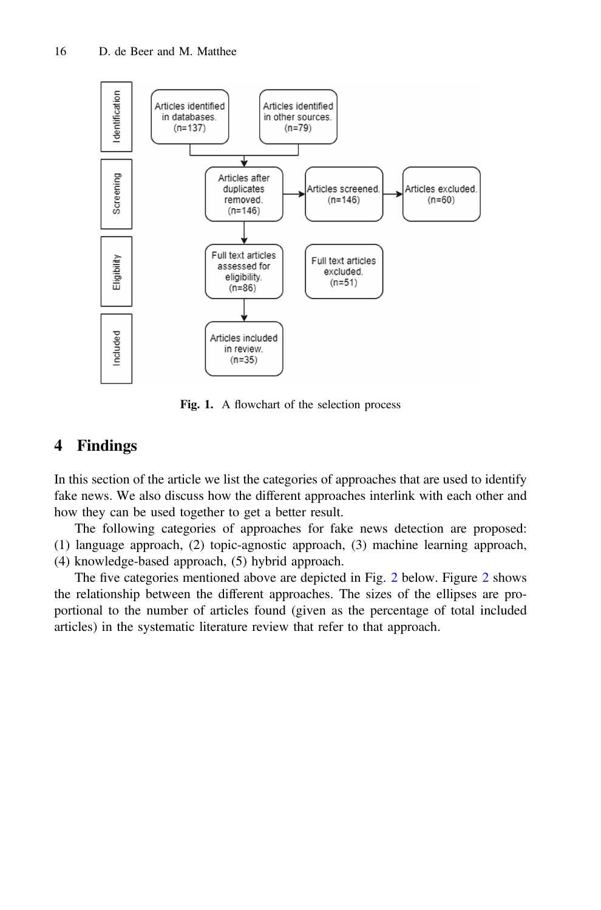<span id="page-3-0"></span>

Fig. 1. A flowchart of the selection process

# 4 Findings

In this section of the article we list the categories of approaches that are used to identify fake news. We also discuss how the different approaches interlink with each other and how they can be used together to get a better result.

The following categories of approaches for fake news detection are proposed: (1) language approach, (2) topic-agnostic approach, (3) machine learning approach, (4) knowledge-based approach, (5) hybrid approach.

The five categories mentioned above are depicted in Fig. [2](#page-4-0) below. Figure [2](#page-4-0) shows the relationship between the different approaches. The sizes of the ellipses are proportional to the number of articles found (given as the percentage of total included articles) in the systematic literature review that refer to that approach.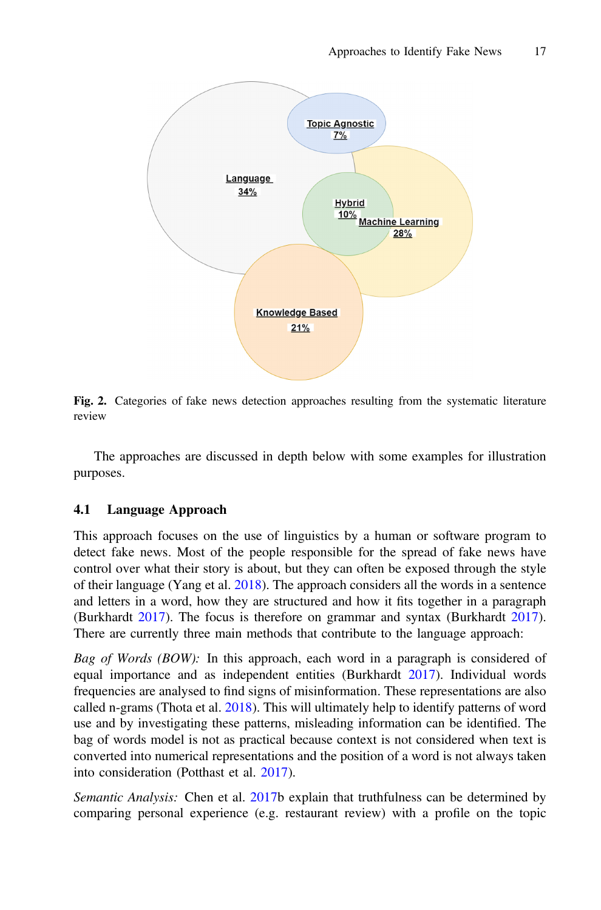<span id="page-4-0"></span>

Fig. 2. Categories of fake news detection approaches resulting from the systematic literature review

The approaches are discussed in depth below with some examples for illustration purposes.

#### 4.1 Language Approach

This approach focuses on the use of linguistics by a human or software program to detect fake news. Most of the people responsible for the spread of fake news have control over what their story is about, but they can often be exposed through the style of their language (Yang et al. [2018](#page-9-0)). The approach considers all the words in a sentence and letters in a word, how they are structured and how it fits together in a paragraph (Burkhardt [2017](#page-7-0)). The focus is therefore on grammar and syntax (Burkhardt [2017\)](#page-7-0). There are currently three main methods that contribute to the language approach:

Bag of Words (BOW): In this approach, each word in a paragraph is considered of equal importance and as independent entities (Burkhardt [2017\)](#page-7-0). Individual words frequencies are analysed to find signs of misinformation. These representations are also called n-grams (Thota et al. [2018\)](#page-9-0). This will ultimately help to identify patterns of word use and by investigating these patterns, misleading information can be identified. The bag of words model is not as practical because context is not considered when text is converted into numerical representations and the position of a word is not always taken into consideration (Potthast et al. [2017\)](#page-8-0).

Semantic Analysis: Chen et al. [2017](#page-8-0)b explain that truthfulness can be determined by comparing personal experience (e.g. restaurant review) with a profile on the topic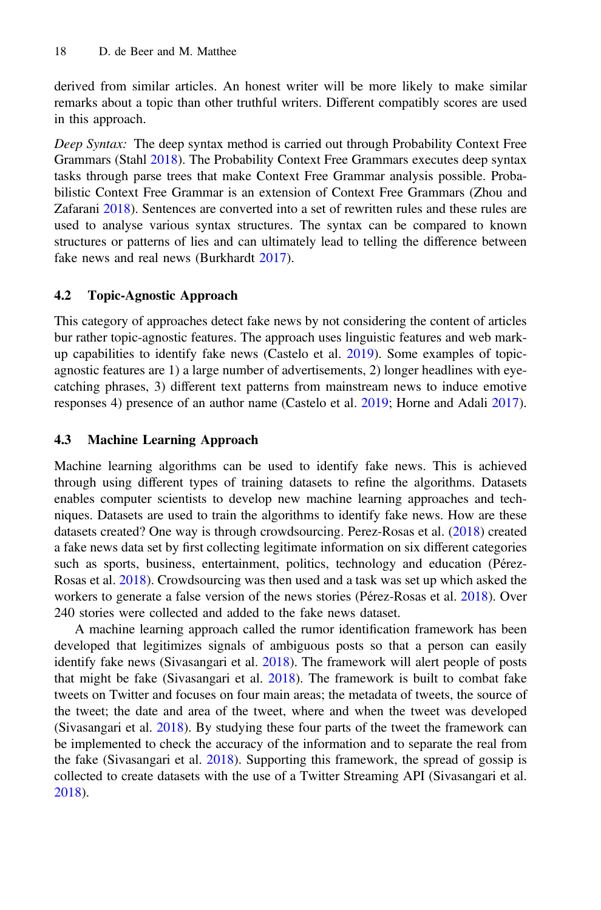derived from similar articles. An honest writer will be more likely to make similar remarks about a topic than other truthful writers. Different compatibly scores are used in this approach.

Deep Syntax: The deep syntax method is carried out through Probability Context Free Grammars (Stahl [2018](#page-8-0)). The Probability Context Free Grammars executes deep syntax tasks through parse trees that make Context Free Grammar analysis possible. Probabilistic Context Free Grammar is an extension of Context Free Grammars (Zhou and Zafarani [2018\)](#page-9-0). Sentences are converted into a set of rewritten rules and these rules are used to analyse various syntax structures. The syntax can be compared to known structures or patterns of lies and can ultimately lead to telling the difference between fake news and real news (Burkhardt [2017\)](#page-7-0).

### 4.2 Topic-Agnostic Approach

This category of approaches detect fake news by not considering the content of articles bur rather topic-agnostic features. The approach uses linguistic features and web markup capabilities to identify fake news (Castelo et al. [2019\)](#page-7-0). Some examples of topicagnostic features are 1) a large number of advertisements, 2) longer headlines with eyecatching phrases, 3) different text patterns from mainstream news to induce emotive responses 4) presence of an author name (Castelo et al. [2019](#page-7-0); Horne and Adali [2017\)](#page-8-0).

### 4.3 Machine Learning Approach

Machine learning algorithms can be used to identify fake news. This is achieved through using different types of training datasets to refine the algorithms. Datasets enables computer scientists to develop new machine learning approaches and techniques. Datasets are used to train the algorithms to identify fake news. How are these datasets created? One way is through crowdsourcing. Perez-Rosas et al. [\(2018](#page-8-0)) created a fake news data set by first collecting legitimate information on six different categories such as sports, business, entertainment, politics, technology and education (Pérez-Rosas et al. [2018](#page-8-0)). Crowdsourcing was then used and a task was set up which asked the workers to generate a false version of the news stories (Pérez-Rosas et al. [2018](#page-8-0)). Over 240 stories were collected and added to the fake news dataset.

A machine learning approach called the rumor identification framework has been developed that legitimizes signals of ambiguous posts so that a person can easily identify fake news (Sivasangari et al. [2018\)](#page-8-0). The framework will alert people of posts that might be fake (Sivasangari et al. [2018](#page-8-0)). The framework is built to combat fake tweets on Twitter and focuses on four main areas; the metadata of tweets, the source of the tweet; the date and area of the tweet, where and when the tweet was developed (Sivasangari et al. [2018\)](#page-8-0). By studying these four parts of the tweet the framework can be implemented to check the accuracy of the information and to separate the real from the fake (Sivasangari et al. [2018](#page-8-0)). Supporting this framework, the spread of gossip is collected to create datasets with the use of a Twitter Streaming API (Sivasangari et al. [2018\)](#page-8-0).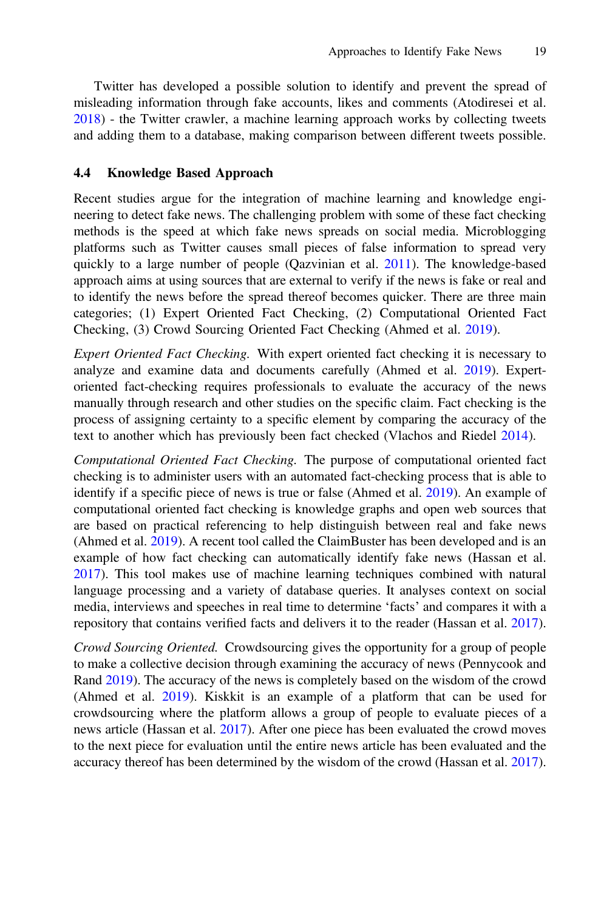Twitter has developed a possible solution to identify and prevent the spread of misleading information through fake accounts, likes and comments (Atodiresei et al. [2018\)](#page-7-0) - the Twitter crawler, a machine learning approach works by collecting tweets and adding them to a database, making comparison between different tweets possible.

#### 4.4 Knowledge Based Approach

Recent studies argue for the integration of machine learning and knowledge engineering to detect fake news. The challenging problem with some of these fact checking methods is the speed at which fake news spreads on social media. Microblogging platforms such as Twitter causes small pieces of false information to spread very quickly to a large number of people (Qazvinian et al. [2011](#page-8-0)). The knowledge-based approach aims at using sources that are external to verify if the news is fake or real and to identify the news before the spread thereof becomes quicker. There are three main categories; (1) Expert Oriented Fact Checking, (2) Computational Oriented Fact Checking, (3) Crowd Sourcing Oriented Fact Checking (Ahmed et al. [2019](#page-7-0)).

Expert Oriented Fact Checking. With expert oriented fact checking it is necessary to analyze and examine data and documents carefully (Ahmed et al. [2019](#page-7-0)). Expertoriented fact-checking requires professionals to evaluate the accuracy of the news manually through research and other studies on the specific claim. Fact checking is the process of assigning certainty to a specific element by comparing the accuracy of the text to another which has previously been fact checked (Vlachos and Riedel [2014\)](#page-9-0).

Computational Oriented Fact Checking. The purpose of computational oriented fact checking is to administer users with an automated fact-checking process that is able to identify if a specific piece of news is true or false (Ahmed et al. [2019\)](#page-7-0). An example of computational oriented fact checking is knowledge graphs and open web sources that are based on practical referencing to help distinguish between real and fake news (Ahmed et al. [2019](#page-7-0)). A recent tool called the ClaimBuster has been developed and is an example of how fact checking can automatically identify fake news (Hassan et al. [2017\)](#page-8-0). This tool makes use of machine learning techniques combined with natural language processing and a variety of database queries. It analyses context on social media, interviews and speeches in real time to determine 'facts' and compares it with a repository that contains verified facts and delivers it to the reader (Hassan et al. [2017\)](#page-8-0).

Crowd Sourcing Oriented. Crowdsourcing gives the opportunity for a group of people to make a collective decision through examining the accuracy of news (Pennycook and Rand [2019](#page-8-0)). The accuracy of the news is completely based on the wisdom of the crowd (Ahmed et al. [2019\)](#page-7-0). Kiskkit is an example of a platform that can be used for crowdsourcing where the platform allows a group of people to evaluate pieces of a news article (Hassan et al. [2017\)](#page-8-0). After one piece has been evaluated the crowd moves to the next piece for evaluation until the entire news article has been evaluated and the accuracy thereof has been determined by the wisdom of the crowd (Hassan et al. [2017\)](#page-8-0).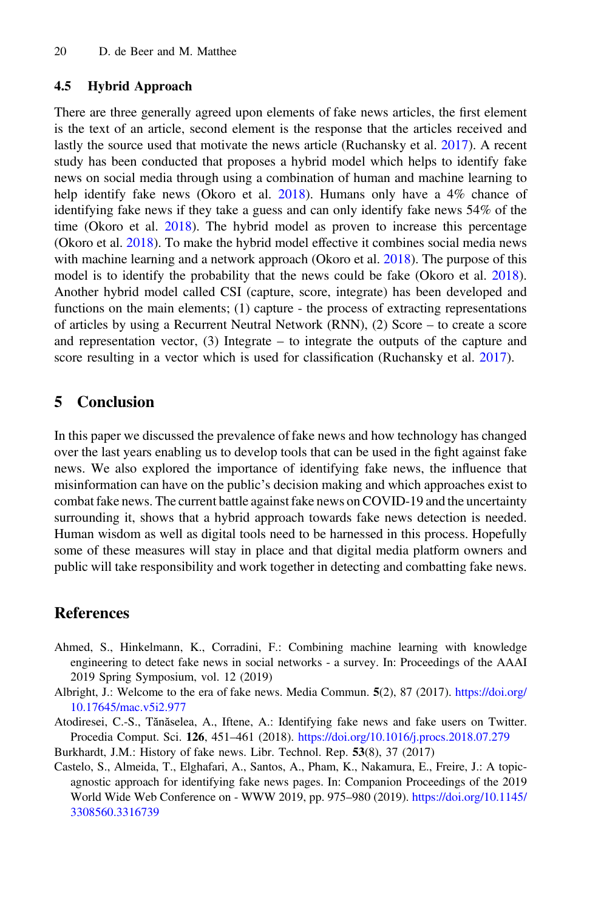#### <span id="page-7-0"></span>4.5 Hybrid Approach

There are three generally agreed upon elements of fake news articles, the first element is the text of an article, second element is the response that the articles received and lastly the source used that motivate the news article (Ruchansky et al. [2017\)](#page-8-0). A recent study has been conducted that proposes a hybrid model which helps to identify fake news on social media through using a combination of human and machine learning to help identify fake news (Okoro et al. [2018\)](#page-8-0). Humans only have a 4% chance of identifying fake news if they take a guess and can only identify fake news 54% of the time (Okoro et al. [2018](#page-8-0)). The hybrid model as proven to increase this percentage (Okoro et al. [2018](#page-8-0)). To make the hybrid model effective it combines social media news with machine learning and a network approach (Okoro et al. [2018\)](#page-8-0). The purpose of this model is to identify the probability that the news could be fake (Okoro et al. [2018\)](#page-8-0). Another hybrid model called CSI (capture, score, integrate) has been developed and functions on the main elements; (1) capture - the process of extracting representations of articles by using a Recurrent Neutral Network (RNN), (2) Score – to create a score and representation vector, (3) Integrate – to integrate the outputs of the capture and score resulting in a vector which is used for classification (Ruchansky et al. [2017\)](#page-8-0).

# 5 Conclusion

In this paper we discussed the prevalence of fake news and how technology has changed over the last years enabling us to develop tools that can be used in the fight against fake news. We also explored the importance of identifying fake news, the influence that misinformation can have on the public's decision making and which approaches exist to combat fake news. The current battle against fake news on COVID-19 and the uncertainty surrounding it, shows that a hybrid approach towards fake news detection is needed. Human wisdom as well as digital tools need to be harnessed in this process. Hopefully some of these measures will stay in place and that digital media platform owners and public will take responsibility and work together in detecting and combatting fake news.

# **References**

- Ahmed, S., Hinkelmann, K., Corradini, F.: Combining machine learning with knowledge engineering to detect fake news in social networks - a survey. In: Proceedings of the AAAI 2019 Spring Symposium, vol. 12 (2019)
- Albright, J.: Welcome to the era of fake news. Media Commun. 5(2), 87 (2017). [https://doi.org/](https://doi.org/10.17645/mac.v5i2.977) [10.17645/mac.v5i2.977](https://doi.org/10.17645/mac.v5i2.977)
- Atodiresei, C.-S., Tănăselea, A., Iftene, A.: Identifying fake news and fake users on Twitter. Procedia Comput. Sci. 126, 451–461 (2018). <https://doi.org/10.1016/j.procs.2018.07.279>
- Burkhardt, J.M.: History of fake news. Libr. Technol. Rep. 53(8), 37 (2017)
- Castelo, S., Almeida, T., Elghafari, A., Santos, A., Pham, K., Nakamura, E., Freire, J.: A topicagnostic approach for identifying fake news pages. In: Companion Proceedings of the 2019 World Wide Web Conference on - WWW 2019, pp. 975–980 (2019). [https://doi.org/10.1145/](https://doi.org/10.1145/3308560.3316739) [3308560.3316739](https://doi.org/10.1145/3308560.3316739)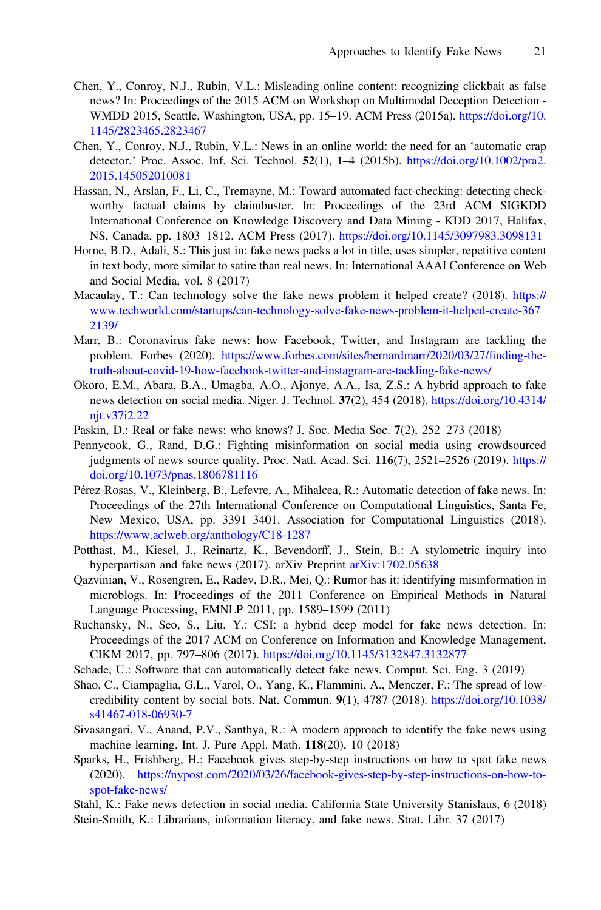- <span id="page-8-0"></span>Chen, Y., Conroy, N.J., Rubin, V.L.: Misleading online content: recognizing clickbait as false news? In: Proceedings of the 2015 ACM on Workshop on Multimodal Deception Detection - WMDD 2015, Seattle, Washington, USA, pp. 15–19. ACM Press (2015a). [https://doi.org/10.](https://doi.org/10.1145/2823465.2823467) [1145/2823465.2823467](https://doi.org/10.1145/2823465.2823467)
- Chen, Y., Conroy, N.J., Rubin, V.L.: News in an online world: the need for an 'automatic crap detector.' Proc. Assoc. Inf. Sci. Technol. 52(1), 1–4 (2015b). [https://doi.org/10.1002/pra2.](https://doi.org/10.1002/pra2.2015.145052010081) [2015.145052010081](https://doi.org/10.1002/pra2.2015.145052010081)
- Hassan, N., Arslan, F., Li, C., Tremayne, M.: Toward automated fact-checking: detecting checkworthy factual claims by claimbuster. In: Proceedings of the 23rd ACM SIGKDD International Conference on Knowledge Discovery and Data Mining - KDD 2017, Halifax, NS, Canada, pp. 1803–1812. ACM Press (2017). <https://doi.org/10.1145/3097983.3098131>
- Horne, B.D., Adali, S.: This just in: fake news packs a lot in title, uses simpler, repetitive content in text body, more similar to satire than real news. In: International AAAI Conference on Web and Social Media, vol. 8 (2017)
- Macaulay, T.: Can technology solve the fake news problem it helped create? (2018). [https://](https://www.techworld.com/startups/can-technology-solve-fake-news-problem-it-helped-create-3672139/) [www.techworld.com/startups/can-technology-solve-fake-news-problem-it-helped-create-367](https://www.techworld.com/startups/can-technology-solve-fake-news-problem-it-helped-create-3672139/) [2139/](https://www.techworld.com/startups/can-technology-solve-fake-news-problem-it-helped-create-3672139/)
- Marr, B.: Coronavirus fake news: how Facebook, Twitter, and Instagram are tackling the problem. Forbes (2020). [https://www.forbes.com/sites/bernardmarr/2020/03/27/](https://www.forbes.com/sites/bernardmarr/2020/03/27/finding-the-truth-about-covid-19-how-facebook-twitter-and-instagram-are-tackling-fake-news/)finding-the[truth-about-covid-19-how-facebook-twitter-and-instagram-are-tackling-fake-news/](https://www.forbes.com/sites/bernardmarr/2020/03/27/finding-the-truth-about-covid-19-how-facebook-twitter-and-instagram-are-tackling-fake-news/)
- Okoro, E.M., Abara, B.A., Umagba, A.O., Ajonye, A.A., Isa, Z.S.: A hybrid approach to fake news detection on social media. Niger. J. Technol. 37(2), 454 (2018). [https://doi.org/10.4314/](https://doi.org/10.4314/njt.v37i2.22) [njt.v37i2.22](https://doi.org/10.4314/njt.v37i2.22)
- Paskin, D.: Real or fake news: who knows? J. Soc. Media Soc. 7(2), 252–273 (2018)
- Pennycook, G., Rand, D.G.: Fighting misinformation on social media using crowdsourced judgments of news source quality. Proc. Natl. Acad. Sci.  $116(7)$ ,  $2521-2526$  (2019). [https://](https://doi.org/10.1073/pnas.1806781116) [doi.org/10.1073/pnas.1806781116](https://doi.org/10.1073/pnas.1806781116)
- Pérez-Rosas, V., Kleinberg, B., Lefevre, A., Mihalcea, R.: Automatic detection of fake news. In: Proceedings of the 27th International Conference on Computational Linguistics, Santa Fe, New Mexico, USA, pp. 3391–3401. Association for Computational Linguistics (2018). <https://www.aclweb.org/anthology/C18-1287>
- Potthast, M., Kiesel, J., Reinartz, K., Bevendorff, J., Stein, B.: A stylometric inquiry into hyperpartisan and fake news (2017). arXiv Preprint [arXiv:1702.05638](http://arxiv.org/abs/1702.05638)
- Qazvinian, V., Rosengren, E., Radev, D.R., Mei, Q.: Rumor has it: identifying misinformation in microblogs. In: Proceedings of the 2011 Conference on Empirical Methods in Natural Language Processing, EMNLP 2011, pp. 1589–1599 (2011)
- Ruchansky, N., Seo, S., Liu, Y.: CSI: a hybrid deep model for fake news detection. In: Proceedings of the 2017 ACM on Conference on Information and Knowledge Management, CIKM 2017, pp. 797–806 (2017). <https://doi.org/10.1145/3132847.3132877>
- Schade, U.: Software that can automatically detect fake news. Comput. Sci. Eng. 3 (2019)
- Shao, C., Ciampaglia, G.L., Varol, O., Yang, K., Flammini, A., Menczer, F.: The spread of lowcredibility content by social bots. Nat. Commun. 9(1), 4787 (2018). [https://doi.org/10.1038/](https://doi.org/10.1038/s41467-018-06930-7) [s41467-018-06930-7](https://doi.org/10.1038/s41467-018-06930-7)
- Sivasangari, V., Anand, P.V., Santhya, R.: A modern approach to identify the fake news using machine learning. Int. J. Pure Appl. Math. 118(20), 10 (2018)
- Sparks, H., Frishberg, H.: Facebook gives step-by-step instructions on how to spot fake news (2020). [https://nypost.com/2020/03/26/facebook-gives-step-by-step-instructions-on-how-to](https://nypost.com/2020/03/26/facebook-gives-step-by-step-instructions-on-how-to-spot-fake-news/)[spot-fake-news/](https://nypost.com/2020/03/26/facebook-gives-step-by-step-instructions-on-how-to-spot-fake-news/)
- Stahl, K.: Fake news detection in social media. California State University Stanislaus, 6 (2018) Stein-Smith, K.: Librarians, information literacy, and fake news. Strat. Libr. 37 (2017)